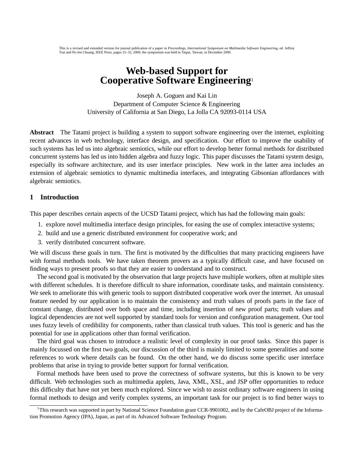This is a revised and extended version for journal publication of a paper in Proceedings, International Symposium on Multimedia Software Engineering, ed. Jeffrey<br>Tsai and Po-Jen Chuang, IEEE Press, pages 25–32, 2000; the s

# **Web-based Support for Cooperative Software Engineering**<sup>1</sup>

Joseph A. Goguen and Kai Lin Department of Computer Science & Engineering University of California at San Diego, La Jolla CA 92093-0114 USA

**Abstract** The Tatami project is building a system to support software engineering over the internet, exploiting recent advances in web technology, interface design, and specification. Our effort to improve the usability of such systems has led us into algebraic semiotics, while our effort to develop better formal methods for distributed concurrent systems has led us into hidden algebra and fuzzy logic. This paper discusses the Tatami system design, especially its software architecture, and its user interface principles. New work in the latter area includes an extension of algebraic semiotics to dynamic multimedia interfaces, and integrating Gibsonian affordances with algebraic semiotics.

# **1 Introduction**

This paper describes certain aspects of the UCSD Tatami project, which has had the following main goals:

- 1. explore novel multimedia interface design principles, for easing the use of complex interactive systems;
- 2. build and use a generic distributed environment for cooperative work; and
- 3. verify distributed concurrent software.

We will discuss these goals in turn. The first is motivated by the difficulties that many practicing engineers have with formal methods tools. We have taken theorem provers as a typically difficult case, and have focused on finding ways to present proofs so that they are easier to understand and to construct.

The second goal is motivated by the observation that large projects have multiple workers, often at multiple sites with different schedules. It is therefore difficult to share information, coordinate tasks, and maintain consistency. We seek to ameliorate this with generic tools to support distributed cooperative work over the internet. An unusual feature needed by our application is to maintain the consistency and truth values of proofs parts in the face of constant change, distributed over both space and time, including insertion of new proof parts; truth values and logical dependencies are not well supported by standard tools for version and configuration management. Our tool uses fuzzy levels of credibility for components, rather than classical truth values. This tool is generic and has the potential for use in applications other than formal verification.

The third goal was chosen to introduce a realistic level of complexity in our proof tasks. Since this paper is mainly focussed on the first two goals, our discussion of the third is mainly limited to some generalities and some references to work where details can be found. On the other hand, we do discuss some specific user interface problems that arise in trying to provide better support for formal verification.

Formal methods have been used to prove the correctness of software systems, but this is known to be very difficult. Web technologies such as multimedia applets, Java, XML, XSL, and JSP offer opportunities to reduce this difficulty that have not yet been much explored. Since we wish to assist ordinary software engineers in using formal methods to design and verify complex systems, an important task for our project is to find better ways to

<sup>&</sup>lt;sup>1</sup>This research was supported in part by National Science Foundation grant CCR-9901002, and by the CafeOBJ project of the Information Promotion Agency (IPA), Japan, as part of its Advanced Software Technology Program.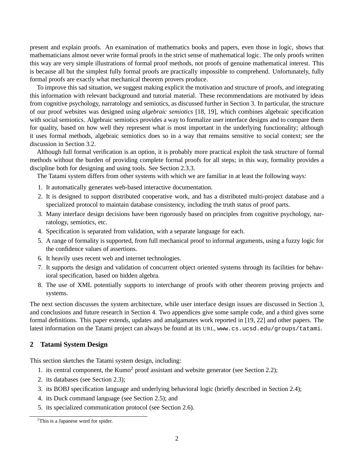present and explain proofs. An examination of mathematics books and papers, even those in logic, shows that mathematicians almost never write formal proofs in the strict sense of mathematical logic. The only proofs written this way are very simple illustrations of formal proof methods, not proofs of genuine mathematical interest. This is because all but the simplest fully formal proofs are practically impossible to comprehend. Unfortunately, fully formal proofs are exactly what mechanical theorem provers produce.

To improve this sad situation, we suggest making explicit the motivation and structure of proofs, and integrating this information with relevant background and tutorial material. These recommendations are motivated by ideas from cognitive psychology, narratology and semiotics, as discussed further in Section 3. In particular, the structure of our proof websites was designed using *algebraic semiotics* [18, 19], which combines algebraic specification with social semiotics. Algebraic semiotics provides a way to formalize user interface designs and to compare them for quality, based on how well they represent what is most important in the underlying functionality; although it uses formal methods, algebraic semiotics does so in a way that remains sensitive to social context; see the discussion in Section 3.2.

Although full formal verification is an option, it is probably more practical exploit the task structure of formal methods without the burden of providing complete formal proofs for all steps; in this way, formality provides a discipline both for designing and using tools. See Section 2.3.3.

The Tatami system differs from other systems with which we are familiar in at least the following ways:

- 1. It automatically generates web-based interactive documentation.
- 2. It is designed to support distributed cooperative work, and has a distributed multi-project database and a specialized protocol to maintain database consistency, including the truth status of proof parts.
- 3. Many interface design decisions have been rigorously based on principles from cognitive psychology, narratology, semiotics, etc.
- 4. Specification is separated from validation, with a separate language for each.
- 5. A range of formality is supported, from full mechanical proof to informal arguments, using a fuzzy logic for the confidence values of assertions.
- 6. It heavily uses recent web and internet technologies.
- 7. It supports the design and validation of concurrent object oriented systems through its facilities for behavioral specification, based on hidden algebra.
- 8. The use of XML potentially supports to interchange of proofs with other theorem proving projects and systems.

The next section discusses the system architecture, while user interface design issues are discussed in Section 3, and conclusions and future research in Section 4. Two appendices give some sample code, and a third gives some formal definitions. This paper extends, updates and amalgamates work reported in [19, 22] and other papers. The latest information on the Tatami project can always be found at its URL, www.cs.ucsd.edu/groups/tatami.

# **2 Tatami System Design**

This section sketches the Tatami system design, including:

- 1. its central component, the Kumo<sup>2</sup> proof assistant and website generator (see Section 2.2);
- 2. its databases (see Section 2.3);
- 3. its BOBJ specification language and underlying behavioral logic (briefly described in Section 2.4);
- 4. its Duck command language (see Section 2.5); and
- 5. its specialized communication protocol (see Section 2.6).

<sup>&</sup>lt;sup>2</sup>This is a Japanese word for spider.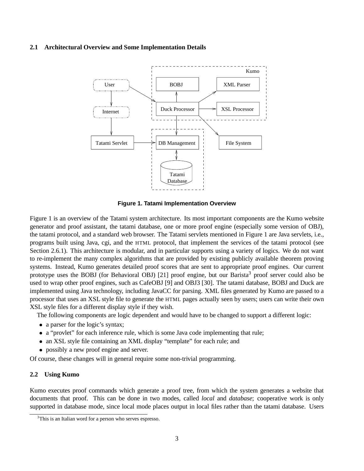### **2.1 Architectural Overview and Some Implementation Details**



**Figure 1. Tatami Implementation Overview**

Figure 1 is an overview of the Tatami system architecture. Its most important components are the Kumo website generator and proof assistant, the tatami database, one or more proof engine (especially some version of OBJ), the tatami protocol, and a standard web browser. The Tatami servlets mentioned in Figure 1 are Java servlets, i.e., programs built using Java, cgi, and the HTML protocol, that implement the services of the tatami protocol (see Section 2.6.1). This architecture is modular, and in particular supports using a variety of logics. We do not want to re-implement the many complex algorithms that are provided by existing publicly available theorem proving systems. Instead, Kumo generates detailed proof scores that are sent to appropriate proof engines. Our current prototype uses the BOBJ (for Behavioral OBJ) [21] proof engine, but our Barista<sup>3</sup> proof server could also be used to wrap other proof engines, such as CafeOBJ [9] and OBJ3 [30]. The tatami database, BOBJ and Duck are implemented using Java technology, including JavaCC for parsing. XML files generated by Kumo are passed to a processor that uses an XSL style file to generate the HTML pages actually seen by users; users can write their own XSL style files for a different display style if they wish.

The following components are logic dependent and would have to be changed to support a different logic:

- a parser for the logic's syntax;
- a "provlet" for each inference rule, which is some Java code implementing that rule;
- an XSL style file containing an XML display "template" for each rule; and
- possibly a new proof engine and server.

Of course, these changes will in general require some non-trivial programming.

#### **2.2 Using Kumo**

Kumo executes proof commands which generate a proof tree, from which the system generates a website that documents that proof. This can be done in two modes, called *local* and *database*; cooperative work is only supported in database mode, since local mode places output in local files rather than the tatami database. Users

<sup>&</sup>lt;sup>3</sup>This is an Italian word for a person who serves espresso.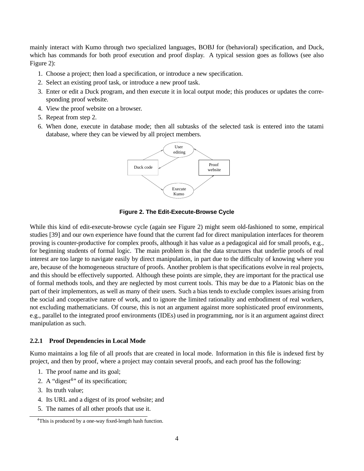mainly interact with Kumo through two specialized languages, BOBJ for (behavioral) specification, and Duck, which has commands for both proof execution and proof display. A typical session goes as follows (see also Figure 2):

- 1. Choose a project; then load a specification, or introduce a new specification.
- 2. Select an existing proof task, or introduce a new proof task.
- 3. Enter or edit a Duck program, and then execute it in local output mode; this produces or updates the corresponding proof website.
- 4. View the proof website on a browser.
- 5. Repeat from step 2.
- 6. When done, execute in database mode; then all subtasks of the selected task is entered into the tatami database, where they can be viewed by all project members.



**Figure 2. The Edit-Execute-Browse Cycle**

While this kind of edit-execute-browse cycle (again see Figure 2) might seem old-fashioned to some, empirical studies [39] and our own experience have found that the current fad for direct manipulation interfaces for theorem proving is counter-productive for complex proofs, although it has value as a pedagogical aid for small proofs, e.g., for beginning students of formal logic. The main problem is that the data structures that underlie proofs of real interest are too large to navigate easily by direct manipulation, in part due to the difficulty of knowing where you are, because of the homogeneous structure of proofs. Another problem is that specifications evolve in real projects, and this should be effectively supported. Although these points are simple, they are important for the practical use of formal methods tools, and they are neglected by most current tools. This may be due to a Platonic bias on the part of their implementors, as well as many of their users. Such a bias tends to exclude complex issues arising from the social and cooperative nature of work, and to ignore the limited rationality and embodiment of real workers, not excluding mathematicians. Of course, this is not an argument against more sophisticated proof environments, e.g., parallel to the integrated proof environments (IDEs) used in programming, nor is it an argument against direct manipulation as such.

### **2.2.1 Proof Dependencies in Local Mode**

Kumo maintains a log file of all proofs that are created in local mode. Information in this file is indexed first by project, and then by proof, where a project may contain several proofs, and each proof has the following:

- 1. The proof name and its goal;
- 2. A "digest<sup>4</sup>" of its specification;
- 3. Its truth value;
- 4. Its URL and a digest of its proof website; and
- 5. The names of all other proofs that use it.

<sup>&</sup>lt;sup>4</sup>This is produced by a one-way fixed-length hash function.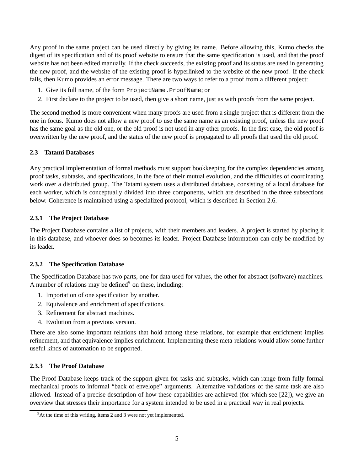Any proof in the same project can be used directly by giving its name. Before allowing this, Kumo checks the digest of its specification and of its proof website to ensure that the same specification is used, and that the proof website has not been edited manually. If the check succeeds, the existing proof and its status are used in generating the new proof, and the website of the existing proof is hyperlinked to the website of the new proof. If the check fails, then Kumo provides an error message. There are two ways to refer to a proof from a different project:

- 1. Give its full name, of the form ProjectName.ProofName; or
- 2. First declare to the project to be used, then give a short name, just as with proofs from the same project.

The second method is more convenient when many proofs are used from a single project that is different from the one in focus. Kumo does not allow a new proof to use the same name as an existing proof, unless the new proof has the same goal as the old one, or the old proof is not used in any other proofs. In the first case, the old proof is overwritten by the new proof, and the status of the new proof is propagated to all proofs that used the old proof.

## **2.3 Tatami Databases**

Any practical implementation of formal methods must support bookkeeping for the complex dependencies among proof tasks, subtasks, and specifications, in the face of their mutual evolution, and the difficulties of coordinating work over a distributed group. The Tatami system uses a distributed database, consisting of a local database for each worker, which is conceptually divided into three components, which are described in the three subsections below. Coherence is maintained using a specialized protocol, which is described in Section 2.6.

### **2.3.1 The Project Database**

The Project Database contains a list of projects, with their members and leaders. A project is started by placing it in this database, and whoever does so becomes its leader. Project Database information can only be modified by its leader.

### **2.3.2 The Specification Database**

The Specification Database has two parts, one for data used for values, the other for abstract (software) machines. A number of relations may be defined<sup>5</sup> on these, including:

- 1. Importation of one specification by another.
- 2. Equivalence and enrichment of specifications.
- 3. Refinement for abstract machines.
- 4. Evolution from a previous version.

There are also some important relations that hold among these relations, for example that enrichment implies refinement, and that equivalence implies enrichment. Implementing these meta-relations would allow some further useful kinds of automation to be supported.

# **2.3.3 The Proof Database**

The Proof Database keeps track of the support given for tasks and subtasks, which can range from fully formal mechanical proofs to informal "back of envelope" arguments. Alternative validations of the same task are also allowed. Instead of a precise description of how these capabilities are achieved (for which see [22]), we give an overview that stresses their importance for a system intended to be used in a practical way in real projects.

<sup>&</sup>lt;sup>5</sup>At the time of this writing, items 2 and 3 were not yet implemented.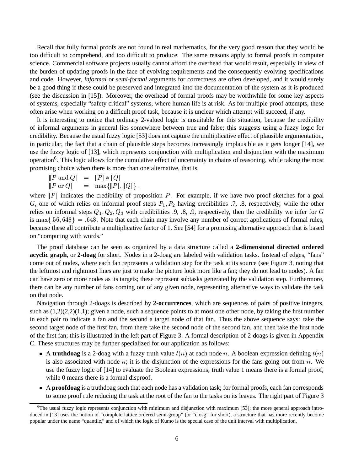Recall that fully formal proofs are not found in real mathematics, for the very good reason that they would be too difficult to comprehend, and too difficult to produce. The same reasons apply to formal proofs in computer science. Commercial software projects usually cannot afford the overhead that would result, especially in view of the burden of updating proofs in the face of evolving requirements and the consequently evolving specifications and code. However, *informal* or *semi-formal* arguments for correctness are often developed, and it would surely be a good thing if these could be preserved and integrated into the documentation of the system as it is produced (see the discussion in [15]). Moreover, the overhead of formal proofs may be worthwhile for some key aspects of systems, especially "safety critical" systems, where human life is at risk. As for multiple proof attempts, these often arise when working on a difficult proof task, because it is unclear which attempt will succeed, if any.

It is interesting to notice that ordinary 2-valued logic is unsuitable for this situation, because the credibility of informal arguments in general lies somewhere between true and false; this suggests using a fuzzy logic for credibility. Because the usual fuzzy logic [53] does not capture the multiplicative effect of plausible argumentation, in particular, the fact that a chain of plausible steps becomes increasingly implausible as it gets longer [14], we use the fuzzy logic of [13], which represents conjunction with multiplication and disjunction with the maximum operation<sup>6</sup>. This logic allows for the cumulative effect of uncertainty in chains of reasoning, while taking the most promising choice when there is more than one alternative, that is,

 $\|P\| = \|P\| = \|P\| = \|P\| = \|P\| = \|P\| = \|P\| = \|P\| = \|P\| = \|P\| = \|P\| = \|P\| = \|P\| = \|P\| = \|P\| = \|P\| = \|P\| = \|P\| = \|P\| = \|P\| = \|P\| = \|P\| = \|P\| = \|P\| = \|P\| = \|P\| = \|P\| = \|P\| = \|P\| = \|P\| = \|P\| = \|P\| = \|P\| = \|P\| = \|P\| = \|P\| = \|P\$ 

 $\mathbb{R}^n$  , and  $\mathbb{R}^n$  is a maximum of the contract of the contract of the contract of the contract of the contract of the contract of the contract of the contract of the contract of the contract of the contract of t

where  $\llbracket P \rrbracket$  indicates the credibility of proposition P. For example, if we have two proof sketches for a goal G, one of which relies on informal proof steps  $P_1, P_2$  having credibilities .7, .8, respectively, while the other relies on informal steps  $Q_1, Q_2, Q_3$  with credibilities 0.9, 0.8, 0.9, respectively, then the credibility we infer for G is max $\{.56, 648\} = .648$ . Note that each chain may involve any number of correct applications of formal rules, because these all contribute a multiplicative factor of 1. See [54] for a promising alternative approach that is based on "computing with words."

The proof database can be seen as organized by a data structure called a **2-dimensional directed ordered acyclic graph**, or **2-doag** for short. Nodes in a 2-doag are labeled with validation tasks. Instead of edges, "fans" come out of nodes, where each fan represents a validation step for the task at its source (see Figure 3, noting that the leftmost and rightmost lines are just to make the picture look more like a fan; they do not lead to nodes). A fan can have zero or more nodes as its targets; these represent subtasks generated by the validation step. Furthermore, there can be any number of fans coming out of any given node, representing alternative ways to validate the task on that node.

Navigation through 2-doags is described by **2-occurrences**, which are sequences of pairs of positive integers, such as  $(1,2)(2,2)(1,1)$ ; given a node, such a sequence points to at most one other node, by taking the first number in each pair to indicate a fan and the second a target node of that fan. Thus the above sequence says: take the second target node of the first fan, from there take the second node of the second fan, and then take the first node of the first fan; this is illustrated in the left part of Figure 3. A formal description of 2-doags is given in Appendix C. These structures may be further specialized for our application as follows:

- A **truthdoag** is a 2-doag with a fuzzy truth value  $t(n)$  at each node n. A boolean expression defining  $t(n)$ is also associated with node  $n$ ; it is the disjunction of the expressions for the fans going out from  $n$ . We use the fuzzy logic of [14] to evaluate the Boolean expressions; truth value 1 means there is a formal proof, while 0 means there is a formal disproof.
- A **proofdoag** is a truthdoag such that each node has a validation task; for formal proofs, each fan corresponds to some proof rule reducing the task at the root of the fan to the tasks on its leaves. The right part of Figure 3

<sup>6</sup> The usual fuzzy logic represents conjunction with minimum and disjunction with maximum [53]; the more general approach introduced in [13] uses the notion of "complete lattice ordered semi-group" (or "closg" for short), a structure that has more recently become popular under the name "quantile," and of which the logic of Kumo is the special case of the unit interval with multiplication.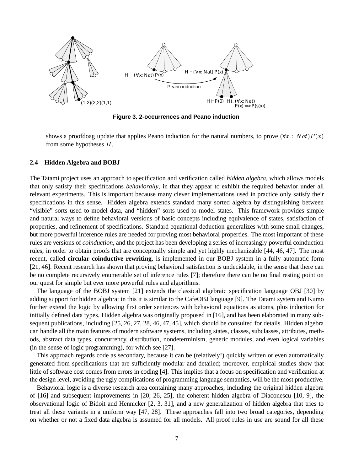

**Figure 3. 2-occurrences and Peano induction**

shows a proofdoag update that applies Peano induction for the natural numbers, to prove  $(\forall x : Nat)P(x)$ from some hypotheses  $H$ .

#### **2.4 Hidden Algebra and BOBJ**

The Tatami project uses an approach to specification and verification called *hidden algebra*, which allows models that only satisfy their specifications *behaviorally*, in that they appear to exhibit the required behavior under all relevant experiments. This is important because many clever implementations used in practice only satisfy their specifications in this sense. Hidden algebra extends standard many sorted algebra by distinguishing between "visible" sorts used to model data, and "hidden" sorts used to model states. This framework provides simple and natural ways to define behavioral versions of basic concepts including equivalence of states, satisfaction of properties, and refinement of specifications. Standard equational deduction generalizes with some small changes, but more powerful inference rules are needed for proving most behavioral properties. The most important of these rules are versions of *coinduction*, and the project has been developing a series of increasingly powerful coinduction rules, in order to obtain proofs that are conceptually simple and yet highly mechanizable [44, 46, 47]. The most recent, called **circular coinductive rewriting**, is implemented in our BOBJ system in a fully automatic form [21, 46]. Recent research has shown that proving behavioral satisfaction is undecidable, in the sense that there can be no complete recursively enumerable set of inference rules [7]; therefore there can be no final resting point on our quest for simple but ever more powerful rules and algorithms.

The language of the BOBJ system [21] extends the classical algebraic specification language OBJ [30] by adding support for hidden algebra; in this it is similar to the CafeOBJ language [9]. The Tatami system and Kumo further extend the logic by allowing first order sentences with behavioral equations as atoms, plus induction for initially defined data types. Hidden algebra was originally proposed in [16], and has been elaborated in many subsequent publications, including [25, 26, 27, 28, 46, 47, 45], which should be consulted for details. Hidden algebra can handle all the main features of modern software systems, including states, classes, subclasses, attributes, methods, abstract data types, concurrency, distribution, nondeterminism, generic modules, and even logical variables (in the sense of logic programming), for which see [27].

This approach regards code as secondary, because it can be (relatively!) quickly written or even automatically generated from specifications that are sufficiently modular and detailed; moreover, empirical studies show that little of software cost comes from errors in coding [4]. This implies that a focus on specification and verification at the design level, avoiding the ugly complications of programming language semantics, will be the most productive.

Behavioral logic is a diverse research area containing many approaches, including the original hidden algebra of [16] and subsequent improvements in [20, 26, 25], the coherent hidden algebra of Diaconescu [10, 9], the observational logic of Bidoit and Hennicker [2, 3, 31], and a new generalization of hidden algebra that tries to treat all these variants in a uniform way [47, 28]. These approaches fall into two broad categories, depending on whether or not a fixed data algebra is assumed for all models. All proof rules in use are sound for all these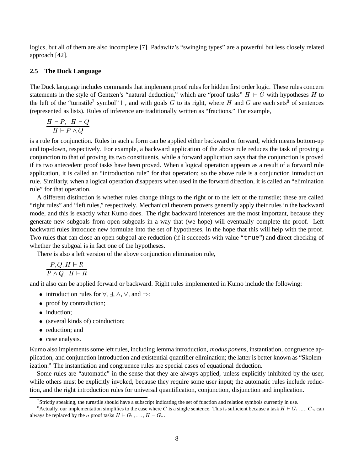logics, but all of them are also incomplete [7]. Padawitz's "swinging types" are a powerful but less closely related approach [42].

### **2.5 The Duck Language**

The Duck language includes commands that implement proof rules for hidden first order logic. These rules concern statements in the style of Gentzen's "natural deduction," which are "proof tasks"  $H \vdash G$  with hypotheses H to the left of the "turnstile<sup>7</sup> symbol"  $\vdash$ , and with goals G to its right, where H and G are each sets<sup>8</sup> of sentences (represented as lists). Rules of inference are traditionally written as "fractions." For example,

$$
\frac{H \vdash P, \ H \vdash Q}{H \vdash P \land Q}
$$

is a rule for conjunction. Rules in such a form can be applied either backward or forward, which means bottom-up and top-down, respectively. For example, a backward application of the above rule reduces the task of proving a conjunction to that of proving its two constituents, while a forward application says that the conjunction is proved if its two antecedent proof tasks have been proved. When a logical operation appears as a result of a forward rule application, it is called an "introduction rule" for that operation; so the above rule is a conjunction introduction rule. Similarly, when a logical operation disappears when used in the forward direction, it is called an "elimination rule" for that operation.

A different distinction is whether rules change things to the right or to the left of the turnstile; these are called "right rules" and "left rules," respectively. Mechanical theorem provers generally apply their rules in the backward mode, and this is exactly what Kumo does. The right backward inferences are the most important, because they generate new subgoals from open subgoals in a way that (we hope) will eventually complete the proof. Left backward rules introduce new formulae into the set of hypotheses, in the hope that this will help with the proof. Two rules that can close an open subgoal are reduction (if it succeeds with value "true") and direct checking of whether the subgoal is in fact one of the hypotheses.

There is also a left version of the above conjunction elimination rule,

$$
\frac{P, Q, H \vdash R}{P \land Q, H \vdash R}
$$

and it also can be applied forward or backward. Right rules implemented in Kumo include the following:

- introduction rules for  $\forall$ ,  $\exists$ ,  $\wedge$ ,  $\vee$ , and  $\Rightarrow$ ;
- proof by contradiction;
- induction;
- (several kinds of) coinduction;
- reduction; and
- case analysis.

Kumo also implements some left rules, including lemma introduction, *modus ponens*, instantiation, congruence application, and conjunction introduction and existential quantifier elimination; the latter is better known as "Skolemization." The instantiation and congruence rules are special cases of equational deduction.

Some rules are "automatic" in the sense that they are always applied, unless explicitly inhibited by the user, while others must be explicitly invoked, because they require some user input; the automatic rules include reduction, and the right introduction rules for universal quantification, conjunction, disjunction and implication.

<sup>&</sup>lt;sup>7</sup>Strictly speaking, the turnstile should have a subscript indicating the set of function and relation symbols currently in use.

<sup>&</sup>lt;sup>8</sup> Actually, our implementation simplifies to the case where G is a single sentence. This is sufficient because a task  $H \vdash G_1, ..., G_n$  can always be replaced by the n proof tasks  $H \vdash G_1, \ldots, H \vdash G_n$ .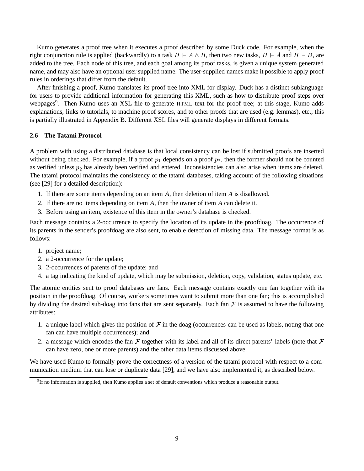Kumo generates a proof tree when it executes a proof described by some Duck code. For example, when the right conjunction rule is applied (backwardly) to a task  $H \vdash A \land B$ , then two new tasks,  $H \vdash A$  and  $H \vdash B$ , are added to the tree. Each node of this tree, and each goal among its proof tasks, is given a unique system generated name, and may also have an optional user supplied name. The user-supplied names make it possible to apply proof rules in orderings that differ from the default.

After finishing a proof, Kumo translates its proof tree into XML for display. Duck has a distinct sublanguage for users to provide additional information for generating this XML, such as how to distribute proof steps over webpages<sup>9</sup>. Then Kumo uses an XSL file to generate HTML text for the proof tree; at this stage, Kumo adds explanations, links to tutorials, to machine proof scores, and to other proofs that are used (e.g. lemmas), etc.; this is partially illustrated in Appendix B. Different XSL files will generate displays in different formats.

### **2.6 The Tatami Protocol**

A problem with using a distributed database is that local consistency can be lost if submitted proofs are inserted without being checked. For example, if a proof  $p_1$  depends on a proof  $p_2$ , then the former should not be counted as verified unless  $p_2$  has already been verified and entered. Inconsistencies can also arise when items are deleted. The tatami protocol maintains the consistency of the tatami databases, taking account of the following situations (see [29] for a detailed description):

- 1. If there are some items depending on an item <sup>A</sup>, then deletion of item <sup>A</sup> is disallowed.
- 2. If there are no items depending on item <sup>A</sup>, then the owner of item <sup>A</sup> can delete it.
- 3. Before using an item, existence of this item in the owner's database is checked.

Each message contains a 2-occurrence to specify the location of its update in the proofdoag. The occurrence of its parents in the sender's proofdoag are also sent, to enable detection of missing data. The message format is as follows:

- 1. project name;
- 2. a 2-occurrence for the update;
- 3. 2-occurrences of parents of the update; and
- 4. a tag indicating the kind of update, which may be submission, deletion, copy, validation, status update, etc.

The atomic entities sent to proof databases are fans. Each message contains exactly one fan together with its position in the proofdoag. Of course, workers sometimes want to submit more than one fan; this is accomplished by dividing the desired sub-doag into fans that are sent separately. Each fan  $F$  is assumed to have the following attributes:

- 1. a unique label which gives the position of  $\mathcal F$  in the doag (occurrences can be used as labels, noting that one fan can have multiple occurrences); and
- 2. a message which encodes the fan F together with its label and all of its direct parents' labels (note that F can have zero, one or more parents) and the other data items discussed above.

We have used Kumo to formally prove the correctness of a version of the tatami protocol with respect to a communication medium that can lose or duplicate data [29], and we have also implemented it, as described below.

<sup>&</sup>lt;sup>9</sup>If no information is supplied, then Kumo applies a set of default conventions which produce a reasonable output.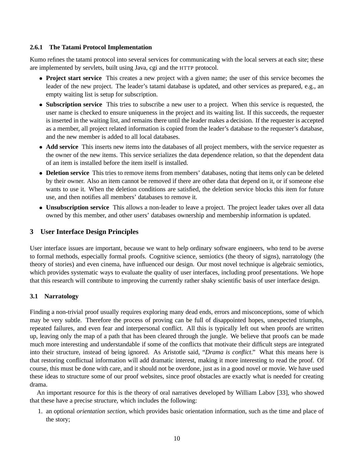# **2.6.1 The Tatami Protocol Implementation**

Kumo refines the tatami protocol into several services for communicating with the local servers at each site; these are implemented by servlets, built using Java, cgi and the HTTP protocol.

- **Project start service** This creates a new project with a given name; the user of this service becomes the leader of the new project. The leader's tatami database is updated, and other services as prepared, e.g., an empty waiting list is setup for subscription.
- **Subscription service** This tries to subscribe a new user to a project. When this service is requested, the user name is checked to ensure uniqueness in the project and its waiting list. If this succeeds, the requester is inserted in the waiting list, and remains there until the leader makes a decision. If the requester is accepted as a member, all project related information is copied from the leader's database to the requester's database, and the new member is added to all local databases.
- **Add service** This inserts new items into the databases of all project members, with the service requester as the owner of the new items. This service serializes the data dependence relation, so that the dependent data of an item is installed before the item itself is installed.
- **Deletion service** This tries to remove items from members' databases, noting that items only can be deleted by their owner. Also an item cannot be removed if there are other data that depend on it, or if someone else wants to use it. When the deletion conditions are satisfied, the deletion service blocks this item for future use, and then notifies all members' databases to remove it.
- **Unsubscription service** This allows a non-leader to leave a project. The project leader takes over all data owned by this member, and other users' databases ownership and membership information is updated.

# **3 User Interface Design Principles**

User interface issues are important, because we want to help ordinary software engineers, who tend to be averse to formal methods, especially formal proofs. Cognitive science, semiotics (the theory of signs), narratology (the theory of stories) and even cinema, have influenced our design. Our most novel technique is algebraic semiotics, which provides systematic ways to evaluate the quality of user interfaces, including proof presentations. We hope that this research will contribute to improving the currently rather shaky scientific basis of user interface design.

# **3.1 Narratology**

Finding a non-trivial proof usually requires exploring many dead ends, errors and misconceptions, some of which may be very subtle. Therefore the process of proving can be full of disappointed hopes, unexpected triumphs, repeated failures, and even fear and interpersonal conflict. All this is typically left out when proofs are written up, leaving only the map of a path that has been cleared through the jungle. We believe that proofs can be made much more interesting and understandable if some of the conflicts that motivate their difficult steps are integrated into their structure, instead of being ignored. As Aristotle said, "*Drama is conflict*." What this means here is that restoring conflictual information will add dramatic interest, making it more interesting to read the proof. Of course, this must be done with care, and it should not be overdone, just as in a good novel or movie. We have used these ideas to structure some of our proof websites, since proof obstacles are exactly what is needed for creating drama.

An important resource for this is the theory of oral narratives developed by William Labov [33], who showed that these have a precise structure, which includes the following:

1. an optional *orientation section*, which provides basic orientation information, such as the time and place of the story;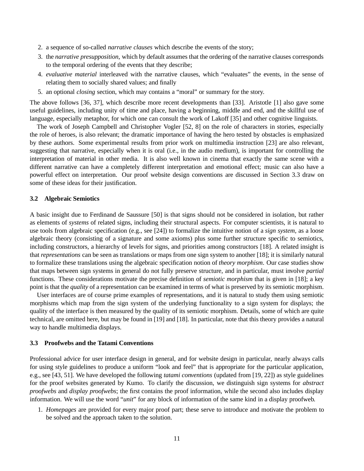- 2. a sequence of so-called *narrative clauses* which describe the events of the story;
- 3. the *narrative presupposition*, which by default assumes that the ordering of the narrative clauses corresponds to the temporal ordering of the events that they describe;
- 4. *evaluative material* interleaved with the narrative clauses, which "evaluates" the events, in the sense of relating them to socially shared values; and finally
- 5. an optional *closing* section, which may contains a "moral" or summary for the story.

The above follows [36, 37], which describe more recent developments than [33]. Aristotle [1] also gave some useful guidelines, including unity of time and place, having a beginning, middle and end, and the skillful use of language, especially metaphor, for which one can consult the work of Lakoff [35] and other cognitive linguists.

The work of Joseph Campbell and Christopher Vogler [52, 8] on the role of characters in stories, especially the role of heroes, is also relevant; the dramatic importance of having the hero tested by obstacles is emphasized by these authors. Some experimental results from prior work on multimedia instruction [23] are also relevant, suggesting that narrative, especially when it is oral (i.e., in the audio medium), is important for controlling the interpretation of material in other media. It is also well known in cinema that exactly the same scene with a different narrative can have a completely different interpretation and emotional effect; music can also have a powerful effect on interpretation. Our proof website design conventions are discussed in Section 3.3 draw on some of these ideas for their justification.

### **3.2 Algebraic Semiotics**

A basic insight due to Ferdinand de Saussure [50] is that signs should not be considered in isolation, but rather as elements of *systems* of related signs, including their structural aspects. For computer scientists, it is natural to use tools from algebraic specification (e.g., see [24]) to formalize the intuitive notion of a *sign system,* as a loose algebraic theory (consisting of a signature and some axioms) plus some further structure specific to semiotics, including constructors, a hierarchy of levels for signs, and priorities among constructors [18]. A related insight is that *representations* can be seen as translations or maps from one sign system to another [18]; it is similarly natural to formalize these translations using the algebraic specification notion of *theory morphism*. Our case studies show that maps between sign systems in general do not fully preserve structure, and in particular, must involve *partial* functions. These considerations motivate the precise definition of *semiotic morphism* that is given in [18]; a key point is that the *quality* of a representation can be examined in terms of what is preserved by its semiotic morphism.

User interfaces are of course prime examples of representations, and it is natural to study them using semiotic morphisms which map from the sign system of the underlying functionality to a sign system for displays; the quality of the interface is then measured by the quality of its semiotic morphism. Details, some of which are quite technical, are omitted here, but may be found in [19] and [18]. In particular, note that this theory provides a natural way to handle multimedia displays.

# **3.3 Proofwebs and the Tatami Conventions**

Professional advice for user interface design in general, and for website design in particular, nearly always calls for using style guidelines to produce a uniform "look and feel" that is appropriate for the particular application, e.g., see [43, 51]. We have developed the following *tatami conventions* (updated from [19, 22]) as style guidelines for the proof websites generated by Kumo. To clarify the discussion, we distinguish sign systems for *abstract proofwebs* and *display proofwebs*; the first contains the proof information, while the second also includes display information. We will use the word "*unit*" for any block of information of the same kind in a display proofweb.

1. *Homepages* are provided for every major proof part; these serve to introduce and motivate the problem to be solved and the approach taken to the solution.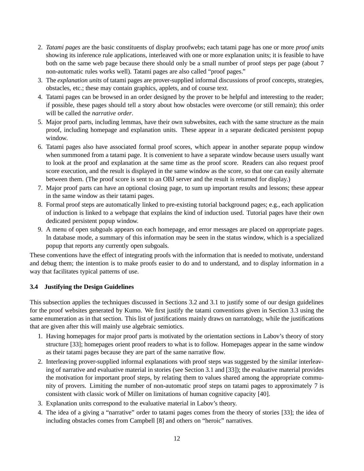- 2. *Tatami pages* are the basic constituents of display proofwebs; each tatami page has one or more *proof units* showing its inference rule applications, interleaved with one or more explanation units; it is feasible to have both on the same web page because there should only be a small number of proof steps per page (about 7 non-automatic rules works well). Tatami pages are also called "proof pages."
- 3. The *explanation units* of tatami pages are prover-supplied informal discussions of proof concepts, strategies, obstacles, etc.; these may contain graphics, applets, and of course text.
- 4. Tatami pages can be browsed in an order designed by the prover to be helpful and interesting to the reader; if possible, these pages should tell a story about how obstacles were overcome (or still remain); this order will be called the *narrative order*.
- 5. Major proof parts, including lemmas, have their own subwebsites, each with the same structure as the main proof, including homepage and explanation units. These appear in a separate dedicated persistent popup window.
- 6. Tatami pages also have associated formal proof scores, which appear in another separate popup window when summoned from a tatami page. It is convenient to have a separate window because users usually want to look at the proof and explanation at the same time as the proof score. Readers can also request proof score execution, and the result is displayed in the same window as the score, so that one can easily alternate between them. (The proof score is sent to an OBJ server and the result is returned for display.)
- 7. Major proof parts can have an optional closing page, to sum up important results and lessons; these appear in the same window as their tatami pages.
- 8. Formal proof steps are automatically linked to pre-existing tutorial background pages; e.g., each application of induction is linked to a webpage that explains the kind of induction used. Tutorial pages have their own dedicated persistent popup window.
- 9. A menu of open subgoals appears on each homepage, and error messages are placed on appropriate pages. In database mode, a summary of this information may be seen in the status window, which is a specialized popup that reports any currently open subgoals.

These conventions have the effect of integrating proofs with the information that is needed to motivate, understand and debug them; the intention is to make proofs easier to do and to understand, and to display information in a way that facilitates typical patterns of use.

# **3.4 Justifying the Design Guidelines**

This subsection applies the techniques discussed in Sections 3.2 and 3.1 to justify some of our design guidelines for the proof websites generated by Kumo. We first justify the tatami conventions given in Section 3.3 using the same enumeration as in that section. This list of justifications mainly draws on narratology, while the justifications that are given after this will mainly use algebraic semiotics.

- 1. Having homepages for major proof parts is motivated by the orientation sections in Labov's theory of story structure [33]; homepages orient proof readers to what is to follow. Homepages appear in the same window as their tatami pages because they are part of the same narrative flow.
- 2. Interleaving prover-supplied informal explanations with proof steps was suggested by the similar interleaving of narrative and evaluative material in stories (see Section 3.1 and [33]); the evaluative material provides the motivation for important proof steps, by relating them to values shared among the appropriate community of provers. Limiting the number of non-automatic proof steps on tatami pages to approximately 7 is consistent with classic work of Miller on limitations of human cognitive capacity [40].
- 3. Explanation units correspond to the evaluative material in Labov's theory.
- 4. The idea of a giving a "narrative" order to tatami pages comes from the theory of stories [33]; the idea of including obstacles comes from Campbell [8] and others on "heroic" narratives.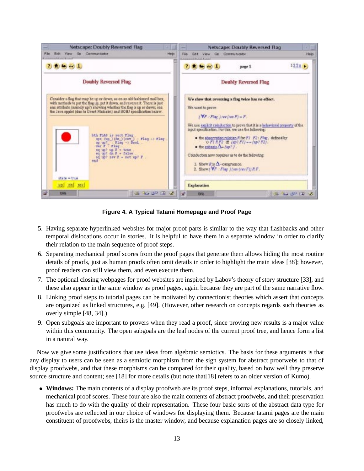

**Figure 4. A Typical Tatami Homepage and Proof Page**

- 5. Having separate hyperlinked websites for major proof parts is similar to the way that flashbacks and other temporal dislocations occur in stories. It is helpful to have them in a separate window in order to clarify their relation to the main sequence of proof steps.
- 6. Separating mechanical proof scores from the proof pages that generate them allows hiding the most routine details of proofs, just as human proofs often omit details in order to highlight the main ideas [38]; however, proof readers can still view them, and even execute them.
- 7. The optional closing webpages for proof websites are inspired by Labov's theory of story structure [33], and these also appear in the same window as proof pages, again because they are part of the same narrative flow.
- 8. Linking proof steps to tutorial pages can be motivated by connectionist theories which assert that concepts are organized as linked structures, e.g. [49]. (However, other research on concepts regards such theories as overly simple [48, 34].)
- 9. Open subgoals are important to provers when they read a proof, since proving new results is a major value within this community. The open subgoals are the leaf nodes of the current proof tree, and hence form a list in a natural way.

Now we give some justifications that use ideas from algebraic semiotics. The basis for these arguments is that any display to users can be seen as a semiotic morphism from the sign system for abstract proofwebs to that of display proofwebs, and that these morphisms can be compared for their quality, based on how well they preserve source structure and content; see [18] for more details (but note that [18] refers to an older version of Kumo).

 **Windows:** The main contents of a display proofweb are its proof steps, informal explanations, tutorials, and mechanical proof scores. These four are also the main contents of abstract proofwebs, and their preservation has much to do with the quality of their representation. These four basic sorts of the abstract data type for proofwebs are reflected in our choice of windows for displaying them. Because tatami pages are the main constituent of proofwebs, theirs is the master window, and because explanation pages are so closely linked,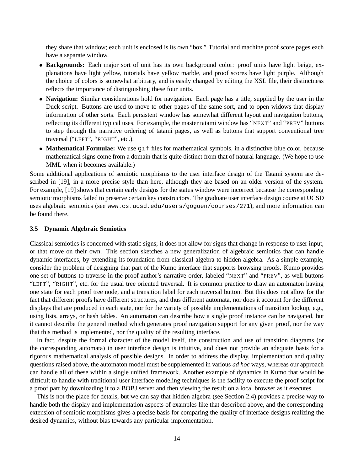they share that window; each unit is enclosed is its own "box." Tutorial and machine proof score pages each have a separate window.

- **Backgrounds:** Each major sort of unit has its own background color: proof units have light beige, explanations have light yellow, tutorials have yellow marble, and proof scores have light purple. Although the choice of colors is somewhat arbitrary, and is easily changed by editing the XSL file, their distinctness reflects the importance of distinguishing these four units.
- **Navigation:** Similar considerations hold for navigation. Each page has a title, supplied by the user in the Duck script. Buttons are used to move to other pages of the same sort, and to open widows that display information of other sorts. Each persistent window has somewhat different layout and navigation buttons, reflecting its different typical uses. For example, the master tatami window has "NEXT" and "PREV" buttons to step through the narrative ordering of tatami pages, as well as buttons that support conventional tree traversal ("LEFT", "RIGHT", etc.).
- **Mathematical Formulae:** We use gif files for mathematical symbols, in a distinctive blue color, because mathematical signs come from a domain that is quite distinct from that of natural language. (We hope to use MML when it becomes available.)

Some additional applications of semiotic morphisms to the user interface design of the Tatami system are described in [19], in a more precise style than here, although they are based on an older version of the system. For example, [19] shows that certain early designs for the status window were incorrect because the corresponding semiotic morphisms failed to preserve certain key constructors. The graduate user interface design course at UCSD uses algebraic semiotics (see www.cs.ucsd.edu/users/goguen/courses/271), and more information can be found there.

### **3.5 Dynamic Algebraic Semiotics**

Classical semiotics is concerned with static signs; it does not allow for signs that change in response to user input, or that move on their own. This section sketches a new generalization of algebraic semiotics that can handle dynamic interfaces, by extending its foundation from classical algebra to hidden algebra. As a simple example, consider the problem of designing that part of the Kumo interface that supports browsing proofs. Kumo provides one set of buttons to traverse in the proof author's narrative order, labeled "NEXT" and "PREV", as well buttons "LEFT", "RIGHT", etc. for the usual tree oriented traversal. It is common practice to draw an automaton having one state for each proof tree node, and a transition label for each traversal button. But this does not allow for the fact that different proofs have different structures, and thus different automata, nor does it account for the different displays that are produced in each state, nor for the variety of possible implementations of transition lookup, e.g., using lists, arrays, or hash tables. An automaton can describe how a single proof instance can be navigated, but it cannot describe the general method which generates proof navigation support for any given proof, nor the way that this method is implemented, nor the quality of the resulting interface.

In fact, despite the formal character of the model itself, the construction and use of transition diagrams (or the corresponding automata) in user interface design is intuitive, and does not provide an adequate basis for a rigorous mathematical analysis of possible designs. In order to address the display, implementation and quality questions raised above, the automaton model must be supplemented in various *ad hoc* ways, whereas our approach can handle all of these within a single unified framework. Another example of dynamics in Kumo that would be difficult to handle with traditional user interface modeling techniques is the facility to execute the proof script for a proof part by downloading it to a BOBJ server and then viewing the result on a local browser as it executes.

This is not the place for details, but we can say that hidden algebra (see Section 2.4) provides a precise way to handle both the display and implementation aspects of examples like that described above, and the corresponding extension of semiotic morphisms gives a precise basis for comparing the quality of interface designs realizing the desired dynamics, without bias towards any particular implementation.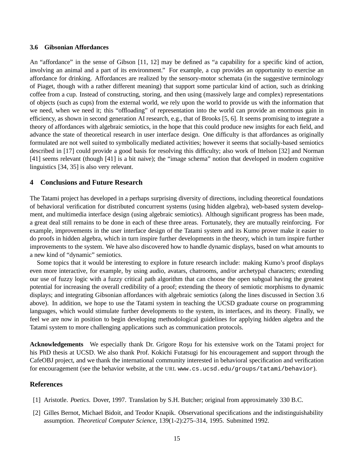### **3.6 Gibsonian Affordances**

An "affordance" in the sense of Gibson [11, 12] may be defined as "a capability for a specific kind of action, involving an animal and a part of its environment." For example, a cup provides an opportunity to exercise an affordance for drinking. Affordances are realized by the sensory-motor schemata (in the suggestive terminology of Piaget, though with a rather different meaning) that support some particular kind of action, such as drinking coffee from a cup. Instead of constructing, storing, and then using (massively large and complex) representations of objects (such as cups) from the external world, we rely upon the world to provide us with the information that we need, when we need it; this "offloading" of representation into the world can provide an enormous gain in efficiency, as shown in second generation AI research, e.g., that of Brooks [5, 6]. It seems promising to integrate a theory of affordances with algebraic semiotics, in the hope that this could produce new insights for each field, and advance the state of theoretical research in user interface design. One difficulty is that affordances as originally formulated are not well suited to symbolically mediated activities; however it seems that socially-based semiotics described in [17] could provide a good basis for resolving this difficulty; also work of Ittelson [32] and Norman [41] seems relevant (though [41] is a bit naive); the "image schema" notion that developed in modern cognitive linguistics [34, 35] is also very relevant.

# **4 Conclusions and Future Research**

The Tatami project has developed in a perhaps surprising diversity of directions, including theoretical foundations of behavioral verification for distributed concurrent systems (using hidden algebra), web-based system development, and multimedia interface design (using algebraic semiotics). Although significant progress has been made, a great deal still remains to be done in each of these three areas. Fortunately, they are mutually reinforcing. For example, improvements in the user interface design of the Tatami system and its Kumo prover make it easier to do proofs in hidden algebra, which in turn inspire further developments in the theory, which in turn inspire further improvements to the system. We have also discovered how to handle dynamic displays, based on what amounts to a new kind of "dynamic" semiotics.

Some topics that it would be interesting to explore in future research include: making Kumo's proof displays even more interactive, for example, by using audio, avatars, chatrooms, and/or archetypal characters; extending our use of fuzzy logic with a fuzzy critical path algorithm that can choose the open subgoal having the greatest potential for increasing the overall credibility of a proof; extending the theory of semiotic morphisms to dynamic displays; and integrating Gibsonian affordances with algebraic semiotics (along the lines discussed in Section 3.6 above). In addition, we hope to use the Tatami system in teaching the UCSD graduate course on programming languages, which would stimulate further developments to the system, its interfaces, and its theory. Finally, we feel we are now in position to begin developing methodological guidelines for applying hidden algebra and the Tatami system to more challenging applications such as communication protocols.

**Acknowledgements** We especially thank Dr. Grigore Rosu for his extensive work on the Tatami project for his PhD thesis at UCSD. We also thank Prof. Kokichi Futatsugi for his encouragement and support through the CafeOBJ project, and we thank the international community interested in behavioral specification and verification for encouragement (see the behavior website, at the URL www.cs.ucsd.edu/groups/tatami/behavior).

### **References**

- [1] Aristotle. *Poetics*. Dover, 1997. Translation by S.H. Butcher; original from approximately 330 B.C.
- [2] Gilles Bernot, Michael Bidoit, and Teodor Knapik. Observational specifications and the indistinguishability assumption. *Theoretical Computer Science*, 139(1-2):275–314, 1995. Submitted 1992.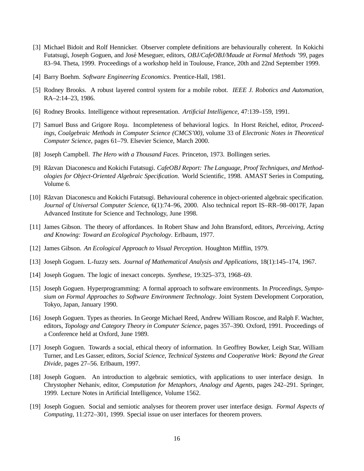- [3] Michael Bidoit and Rolf Hennicker. Observer complete definitions are behaviourally coherent. In Kokichi Futatsugi, Joseph Goguen, and José Meseguer, editors, *OBJ/CafeOBJ/Maude at Formal Methods '99*, pages 83–94. Theta, 1999. Proceedings of a workshop held in Toulouse, France, 20th and 22nd September 1999.
- [4] Barry Boehm. *Software Engineering Economics*. Prentice-Hall, 1981.
- [5] Rodney Brooks. A robust layered control system for a mobile robot. *IEEE J. Robotics and Automation*, RA–2:14–23, 1986.
- [6] Rodney Brooks. Intelligence without representation. *Artificial Intelligence*, 47:139–159, 1991.
- [7] Samuel Buss and Grigore Rosu. Incompleteness of behavioral logics. In Horst Reichel, editor, *Proceedings, Coalgebraic Methods in Computer Science (CMCS'00)*, volume 33 of *Electronic Notes in Theoretical Computer Science*, pages 61–79. Elsevier Science, March 2000.
- [8] Joseph Campbell. *The Hero with a Thousand Faces*. Princeton, 1973. Bollingen series.
- [9] Răzvan Diaconescu and Kokichi Futatsugi. *CafeOBJ Report: The Language, Proof Techniques, and Methodologies for Object-Oriented Algebraic Specification*. World Scientific, 1998. AMAST Series in Computing, Volume 6.
- [10] Răzvan Diaconescu and Kokichi Futatsugi. Behavioural coherence in object-oriented algebraic specification. *Journal of Universal Computer Science*, 6(1):74–96, 2000. Also technical report IS–RR–98–0017F, Japan Advanced Institute for Science and Technology, June 1998.
- [11] James Gibson. The theory of affordances. In Robert Shaw and John Bransford, editors, *Perceiving, Acting and Knowing: Toward an Ecological Psychology*. Erlbaum, 1977.
- [12] James Gibson. *An Ecological Approach to Visual Perception*. Houghton Mifflin, 1979.
- [13] Joseph Goguen. L-fuzzy sets. *Journal of Mathematical Analysis and Applications*, 18(1):145–174, 1967.
- [14] Joseph Goguen. The logic of inexact concepts. *Synthese*, 19:325–373, 1968–69.
- [15] Joseph Goguen. Hyperprogramming: A formal approach to software environments. In *Proceedings, Symposium on Formal Approaches to Software Environment Technology*. Joint System Development Corporation, Tokyo, Japan, January 1990.
- [16] Joseph Goguen. Types as theories. In George Michael Reed, Andrew William Roscoe, and Ralph F. Wachter, editors, *Topology and Category Theory in Computer Science*, pages 357–390. Oxford, 1991. Proceedings of a Conference held at Oxford, June 1989.
- [17] Joseph Goguen. Towards a social, ethical theory of information. In Geoffrey Bowker, Leigh Star, William Turner, and Les Gasser, editors, *Social Science, Technical Systems and Cooperative Work: Beyond the Great Divide*, pages 27–56. Erlbaum, 1997.
- [18] Joseph Goguen. An introduction to algebraic semiotics, with applications to user interface design. In Chrystopher Nehaniv, editor, *Computation for Metaphors, Analogy and Agents*, pages 242–291. Springer, 1999. Lecture Notes in Artificial Intelligence, Volume 1562.
- [19] Joseph Goguen. Social and semiotic analyses for theorem prover user interface design. *Formal Aspects of Computing*, 11:272–301, 1999. Special issue on user interfaces for theorem provers.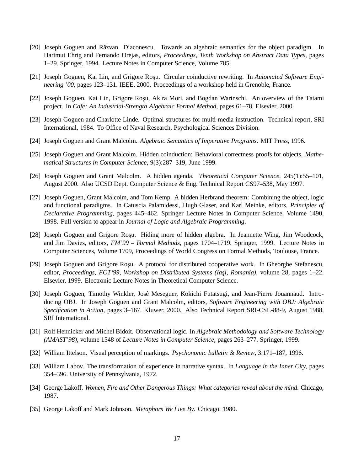- [20] Joseph Goguen and Răzvan Diaconescu. Towards an algebraic semantics for the object paradigm. In Hartmut Ehrig and Fernando Orejas, editors, *Proceedings, Tenth Workshop on Abstract Data Types*, pages 1–29. Springer, 1994. Lecture Notes in Computer Science, Volume 785.
- [21] Joseph Goguen, Kai Lin, and Grigore Rosu. Circular coinductive rewriting. In *Automated Software Engineering '00*, pages 123–131. IEEE, 2000. Proceedings of a workshop held in Grenoble, France.
- [22] Joseph Goguen, Kai Lin, Grigore Rosu, Akira Mori, and Bogdan Warinschi. An overview of the Tatami project. In *Cafe: An Industrial-Strength Algebraic Formal Method*, pages 61–78. Elsevier, 2000.
- [23] Joseph Goguen and Charlotte Linde. Optimal structures for multi-media instruction. Technical report, SRI International, 1984. To Office of Naval Research, Psychological Sciences Division.
- [24] Joseph Goguen and Grant Malcolm. *Algebraic Semantics of Imperative Programs*. MIT Press, 1996.
- [25] Joseph Goguen and Grant Malcolm. Hidden coinduction: Behavioral correctness proofs for objects. *Mathematical Structures in Computer Science*, 9(3):287–319, June 1999.
- [26] Joseph Goguen and Grant Malcolm. A hidden agenda. *Theoretical Computer Science*, 245(1):55–101, August 2000. Also UCSD Dept. Computer Science & Eng. Technical Report CS97–538, May 1997.
- [27] Joseph Goguen, Grant Malcolm, and Tom Kemp. A hidden Herbrand theorem: Combining the object, logic and functional paradigms. In Catuscia Palamidessi, Hugh Glaser, and Karl Meinke, editors, *Principles of Declarative Programming*, pages 445–462. Springer Lecture Notes in Computer Science, Volume 1490, 1998. Full version to appear in *Journal of Logic and Algebraic Programming*.
- [28] Joseph Goguen and Grigore Rosu. Hiding more of hidden algebra. In Jeannette Wing, Jim Woodcock, and Jim Davies, editors, *FM'99 – Formal Methods*, pages 1704–1719. Springer, 1999. Lecture Notes in Computer Sciences, Volume 1709, Proceedings of World Congress on Formal Methods, Toulouse, France.
- [29] Joseph Goguen and Grigore Roşu. A protocol for distributed cooperative work. In Gheorghe Stefanescu, editor, *Proceedings, FCT'99, Workshop on Distributed Systems (Iasi, Romania)*, volume 28, pages 1–22. Elsevier, 1999. Electronic Lecture Notes in Theoretical Computer Science.
- [30] Joseph Goguen, Timothy Winkler, José Meseguer, Kokichi Futatsugi, and Jean-Pierre Jouannaud. Introducing OBJ. In Joseph Goguen and Grant Malcolm, editors, *Software Engineering with OBJ: Algebraic Specification in Action*, pages 3–167. Kluwer, 2000. Also Technical Report SRI-CSL-88-9, August 1988, SRI International.
- [31] Rolf Hennicker and Michel Bidoit. Observational logic. In *Algebraic Methodology and Software Technology (AMAST'98)*, volume 1548 of *Lecture Notes in Computer Science*, pages 263–277. Springer, 1999.
- [32] William Ittelson. Visual perception of markings. *Psychonomic bulletin & Review*, 3:171–187, 1996.
- [33] William Labov. The transformation of experience in narrative syntax. In *Language in the Inner City*, pages 354–396. University of Pennsylvania, 1972.
- [34] George Lakoff. *Women, Fire and Other Dangerous Things: What categories reveal about the mind*. Chicago, 1987.
- [35] George Lakoff and Mark Johnson. *Metaphors We Live By*. Chicago, 1980.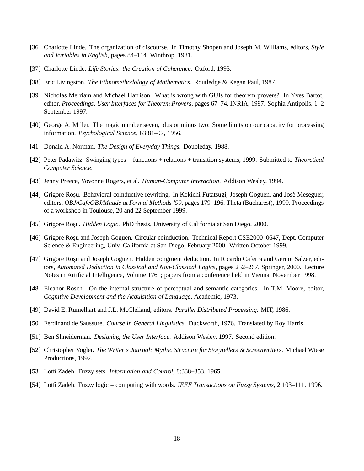- [36] Charlotte Linde. The organization of discourse. In Timothy Shopen and Joseph M. Williams, editors, *Style and Variables in English*, pages 84–114. Winthrop, 1981.
- [37] Charlotte Linde. *Life Stories: the Creation of Coherence*. Oxford, 1993.
- [38] Eric Livingston. *The Ethnomethodology of Mathematics*. Routledge & Kegan Paul, 1987.
- [39] Nicholas Merriam and Michael Harrison. What is wrong with GUIs for theorem provers? In Yves Bartot, editor, *Proceedings, User Interfaces for Theorem Provers*, pages 67–74. INRIA, 1997. Sophia Antipolis, 1–2 September 1997.
- [40] George A. Miller. The magic number seven, plus or minus two: Some limits on our capacity for processing information. *Psychological Science*, 63:81–97, 1956.
- [41] Donald A. Norman. *The Design of Everyday Things*. Doubleday, 1988.
- [42] Peter Padawitz. Swinging types = functions + relations + transition systems, 1999. Submitted to *Theoretical Computer Science*.
- [43] Jenny Preece, Yovonne Rogers, et al. *Human-Computer Interaction*. Addison Wesley, 1994.
- [44] Grigore Roşu. Behavioral coinductive rewriting. In Kokichi Futatsugi, Joseph Goguen, and José Meseguer, editors, *OBJ/CafeOBJ/Maude at Formal Methods '99*, pages 179–196. Theta (Bucharest), 1999. Proceedings of a workshop in Toulouse, 20 and 22 September 1999.
- [45] Grigore Rosu. *Hidden Logic*. PhD thesis, University of California at San Diego, 2000.
- [46] Grigore Rosu and Joseph Goguen. Circular coinduction. Technical Report CSE2000–0647, Dept. Computer Science & Engineering, Univ. California at San Diego, February 2000. Written October 1999.
- [47] Grigore Rosu and Joseph Goguen. Hidden congruent deduction. In Ricardo Caferra and Gernot Salzer, editors, *Automated Deduction in Classical and Non-Classical Logics*, pages 252–267. Springer, 2000. Lecture Notes in Artificial Intelligence, Volume 1761; papers from a conference held in Vienna, November 1998.
- [48] Eleanor Rosch. On the internal structure of perceptual and semantic categories. In T.M. Moore, editor, *Cognitive Development and the Acquisition of Language*. Academic, 1973.
- [49] David E. Rumelhart and J.L. McClelland, editors. *Parallel Distributed Processing*. MIT, 1986.
- [50] Ferdinand de Saussure. *Course in General Linguistics*. Duckworth, 1976. Translated by Roy Harris.
- [51] Ben Shneiderman. *Designing the User Interface*. Addison Wesley, 1997. Second edition.
- [52] Christopher Vogler. *The Writer's Journal: Mythic Structure for Storytellers & Screenwriters*. Michael Wiese Productions, 1992.
- [53] Lotfi Zadeh. Fuzzy sets. *Information and Control*, 8:338–353, 1965.
- [54] Lotfi Zadeh. Fuzzy logic = computing with words. *IEEE Transactions on Fuzzy Systems*, 2:103–111, 1996.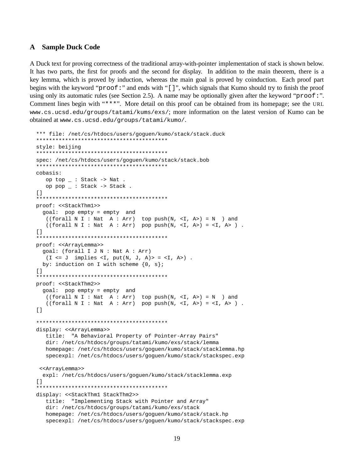### **A Sample Duck Code**

A Duck text for proving correctness of the traditional array-with-pointer implementation of stack is shown below. It has two parts, the first for proofs and the second for display. In addition to the main theorem, there is a key lemma, which is proved by induction, whereas the main goal is proved by coinduction. Each proof part begins with the keyword "proof:" and ends with "[]", which signals that Kumo should try to finish the proof using only its automatic rules (see Section 2.5). A name may be optionally given after the keyword "proof:". Comment lines begin with "\*\*\*". More detail on this proof can be obtained from its homepage; see the URL www.cs.ucsd.edu/groups/tatami/kums/exs/; more information on the latest version of Kumo can be obtained at www.cs.ucsd.edu/groups/tatami/kumo/.

```
*** file: /net/cs/htdocs/users/goguen/kumo/stack/stack.duck
*****************************************
style: beijing
*****************************************
spec: /net/cs/htdocs/users/goguen/kumo/stack/stack.bob
*****************************************
cobasis:
  op top _ : Stack -> Nat .
   op pop _ : Stack -> Stack .
\Box*****************************************
proof: <<StackThm1>>
  goal: pop empty = empty and
   ((forall N I : Nat A : Arr) top push(N, <I, A>)=N) and
   ((forall N I : Nat A : Arr) pop push(N, <I, A) = <I, A>).
\Box*****************************************
proof: <<ArrayLemma>>
  goal: (forall I J N : Nat A : Arr)
   (I \leq J implies \leq I, put(N, J, A) > = \leq I, A >).
 by: induction on I with scheme \{0, s\};
[*****************************************
proof: <<StackThm2>>
  goal: pop empty = empty and
   ((forall N I : Nat A : Arr) top push(N, <I, A>)=N ) and
   ((forall N I : Nat A : Arr) pop push(N, <I, A) = <I, A) .
\lceil \rceil*****************************************
display: <<ArrayLemma>>
   title: "A Behavioral Property of Pointer-Array Pairs"
   dir: /net/cs/htdocs/groups/tatami/kumo/exs/stack/lemma
   homepage: /net/cs/htdocs/users/goguen/kumo/stack/stacklemma.hp
   specexpl: /net/cs/htdocs/users/goguen/kumo/stack/stackspec.exp
 <<ArrayLemma>>
  expl: /net/cs/htdocs/users/goguen/kumo/stack/stacklemma.exp
\Box*****************************************
display: <<StackThm1 StackThm2>>
   title: "Implementing Stack with Pointer and Array"
   dir: /net/cs/htdocs/groups/tatami/kumo/exs/stack
   homepage: /net/cs/htdocs/users/goguen/kumo/stack/stack.hp
   specexpl: /net/cs/htdocs/users/goguen/kumo/stack/stackspec.exp
```